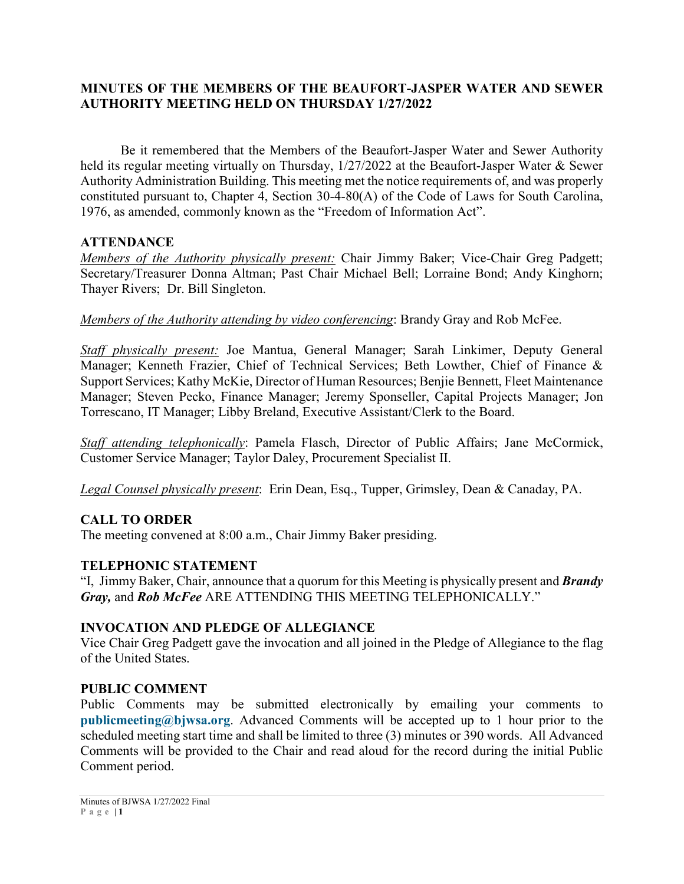### **MINUTES OF THE MEMBERS OF THE BEAUFORT-JASPER WATER AND SEWER AUTHORITY MEETING HELD ON THURSDAY 1/27/2022**

Be it remembered that the Members of the Beaufort-Jasper Water and Sewer Authority held its regular meeting virtually on Thursday, 1/27/2022 at the Beaufort-Jasper Water & Sewer Authority Administration Building. This meeting met the notice requirements of, and was properly constituted pursuant to, Chapter 4, Section 30-4-80(A) of the Code of Laws for South Carolina, 1976, as amended, commonly known as the "Freedom of Information Act".

#### **ATTENDANCE**

*Members of the Authority physically present:* Chair Jimmy Baker; Vice-Chair Greg Padgett; Secretary/Treasurer Donna Altman; Past Chair Michael Bell; Lorraine Bond; Andy Kinghorn; Thayer Rivers; Dr. Bill Singleton.

*Members of the Authority attending by video conferencing*: Brandy Gray and Rob McFee.

*Staff physically present:* Joe Mantua, General Manager; Sarah Linkimer, Deputy General Manager; Kenneth Frazier, Chief of Technical Services; Beth Lowther, Chief of Finance & Support Services; Kathy McKie, Director of Human Resources; Benjie Bennett, Fleet Maintenance Manager; Steven Pecko, Finance Manager; Jeremy Sponseller, Capital Projects Manager; Jon Torrescano, IT Manager; Libby Breland, Executive Assistant/Clerk to the Board.

*Staff attending telephonically*: Pamela Flasch, Director of Public Affairs; Jane McCormick, Customer Service Manager; Taylor Daley, Procurement Specialist II.

*Legal Counsel physically present*: Erin Dean, Esq., Tupper, Grimsley, Dean & Canaday, PA.

### **CALL TO ORDER**

The meeting convened at 8:00 a.m., Chair Jimmy Baker presiding.

### **TELEPHONIC STATEMENT**

"I, Jimmy Baker, Chair, announce that a quorum for this Meeting is physically present and *Brandy Gray,* and *Rob McFee* ARE ATTENDING THIS MEETING TELEPHONICALLY."

#### **INVOCATION AND PLEDGE OF ALLEGIANCE**

Vice Chair Greg Padgett gave the invocation and all joined in the Pledge of Allegiance to the flag of the United States.

#### **PUBLIC COMMENT**

Public Comments may be submitted electronically by emailing your comments to **[publicmeeting@bjwsa.org](mailto:publicmeeting@bjwsa.org)**. Advanced Comments will be accepted up to 1 hour prior to the scheduled meeting start time and shall be limited to three (3) minutes or 390 words. All Advanced Comments will be provided to the Chair and read aloud for the record during the initial Public Comment period.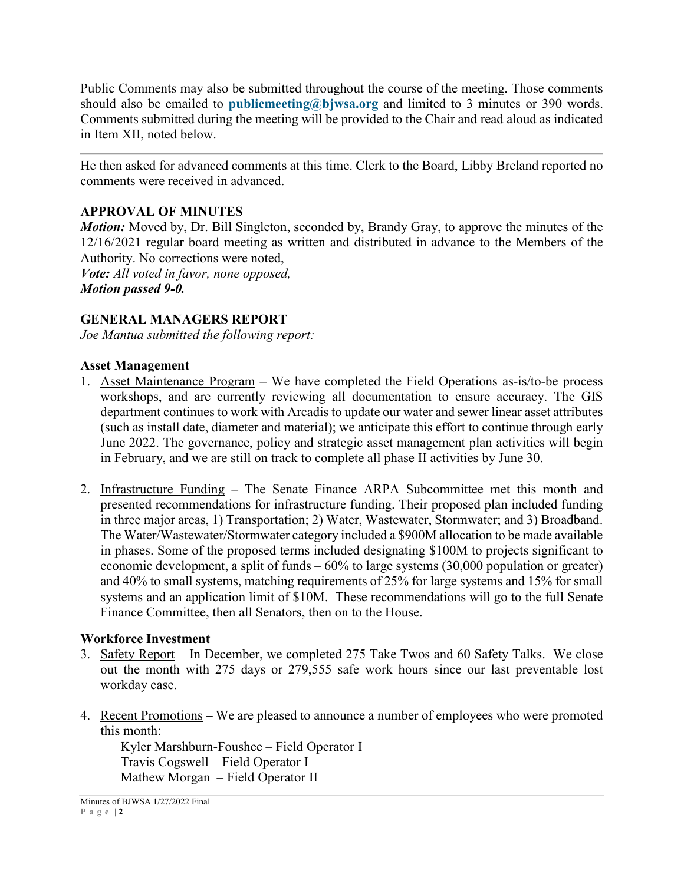Public Comments may also be submitted throughout the course of the meeting. Those comments should also be emailed to **[publicmeeting@bjwsa.org](mailto:publicmeeting@bjwsa.org)** and limited to 3 minutes or 390 words. Comments submitted during the meeting will be provided to the Chair and read aloud as indicated in Item XII, noted below.

He then asked for advanced comments at this time. Clerk to the Board, Libby Breland reported no comments were received in advanced.

### **APPROVAL OF MINUTES**

*Motion:* Moved by, Dr. Bill Singleton, seconded by, Brandy Gray, to approve the minutes of the 12/16/2021 regular board meeting as written and distributed in advance to the Members of the Authority. No corrections were noted,

*Vote: All voted in favor, none opposed, Motion passed 9-0.*

### **GENERAL MANAGERS REPORT**

*Joe Mantua submitted the following report:*

### **Asset Management**

- 1. Asset Maintenance Program **–** We have completed the Field Operations as-is/to-be process workshops, and are currently reviewing all documentation to ensure accuracy. The GIS department continues to work with Arcadis to update our water and sewer linear asset attributes (such as install date, diameter and material); we anticipate this effort to continue through early June 2022. The governance, policy and strategic asset management plan activities will begin in February, and we are still on track to complete all phase II activities by June 30.
- 2. Infrastructure Funding **–** The Senate Finance ARPA Subcommittee met this month and presented recommendations for infrastructure funding. Their proposed plan included funding in three major areas, 1) Transportation; 2) Water, Wastewater, Stormwater; and 3) Broadband. The Water/Wastewater/Stormwater category included a \$900M allocation to be made available in phases. Some of the proposed terms included designating \$100M to projects significant to economic development, a split of funds – 60% to large systems (30,000 population or greater) and 40% to small systems, matching requirements of 25% for large systems and 15% for small systems and an application limit of \$10M. These recommendations will go to the full Senate Finance Committee, then all Senators, then on to the House.

### **Workforce Investment**

- 3. Safety Report In December, we completed 275 Take Twos and 60 Safety Talks. We close out the month with 275 days or 279,555 safe work hours since our last preventable lost workday case.
- 4. Recent Promotions **–** We are pleased to announce a number of employees who were promoted this month:

Kyler Marshburn-Foushee – Field Operator I Travis Cogswell – Field Operator I Mathew Morgan – Field Operator II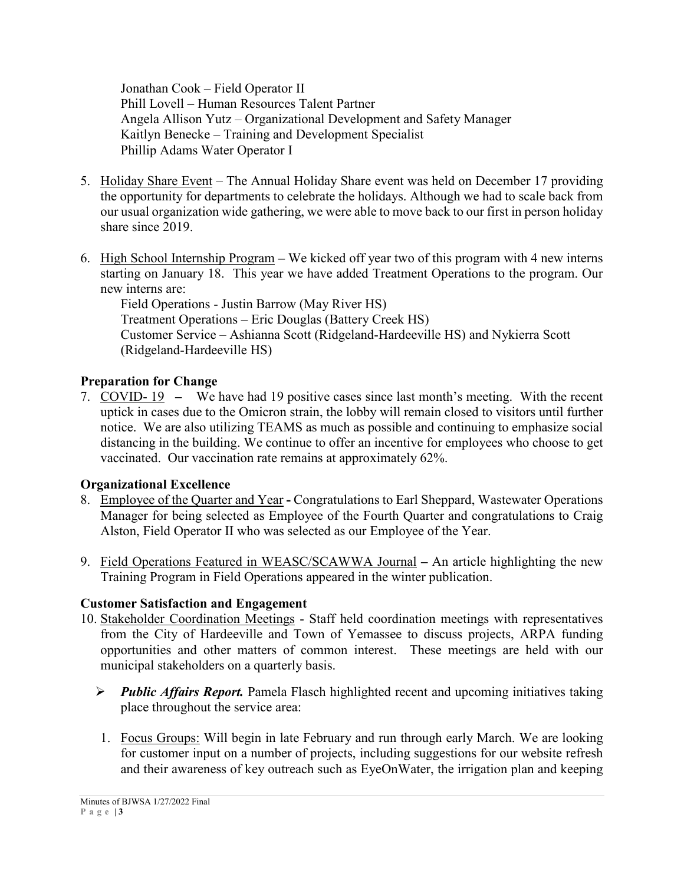Jonathan Cook – Field Operator II Phill Lovell – Human Resources Talent Partner Angela Allison Yutz – Organizational Development and Safety Manager Kaitlyn Benecke – Training and Development Specialist Phillip Adams Water Operator I

- 5. Holiday Share Event The Annual Holiday Share event was held on December 17 providing the opportunity for departments to celebrate the holidays. Although we had to scale back from our usual organization wide gathering, we were able to move back to our first in person holiday share since 2019.
- 6. High School Internship Program **–** We kicked off year two of this program with 4 new interns starting on January 18. This year we have added Treatment Operations to the program. Our new interns are:

Field Operations - Justin Barrow (May River HS) Treatment Operations – Eric Douglas (Battery Creek HS) Customer Service – Ashianna Scott (Ridgeland-Hardeeville HS) and Nykierra Scott (Ridgeland-Hardeeville HS)

# **Preparation for Change**

7. COVID- 19 **–** We have had 19 positive cases since last month's meeting. With the recent uptick in cases due to the Omicron strain, the lobby will remain closed to visitors until further notice. We are also utilizing TEAMS as much as possible and continuing to emphasize social distancing in the building. We continue to offer an incentive for employees who choose to get vaccinated. Our vaccination rate remains at approximately 62%.

# **Organizational Excellence**

- 8. Employee of the Quarter and Year **-** Congratulations to Earl Sheppard, Wastewater Operations Manager for being selected as Employee of the Fourth Quarter and congratulations to Craig Alston, Field Operator II who was selected as our Employee of the Year.
- 9. Field Operations Featured in WEASC/SCAWWA Journal **–** An article highlighting the new Training Program in Field Operations appeared in the winter publication.

# **Customer Satisfaction and Engagement**

- 10. Stakeholder Coordination Meetings Staff held coordination meetings with representatives from the City of Hardeeville and Town of Yemassee to discuss projects, ARPA funding opportunities and other matters of common interest. These meetings are held with our municipal stakeholders on a quarterly basis.
	- *Public Affairs Report.* Pamela Flasch highlighted recent and upcoming initiatives taking place throughout the service area:
	- 1. Focus Groups: Will begin in late February and run through early March. We are looking for customer input on a number of projects, including suggestions for our website refresh and their awareness of key outreach such as EyeOnWater, the irrigation plan and keeping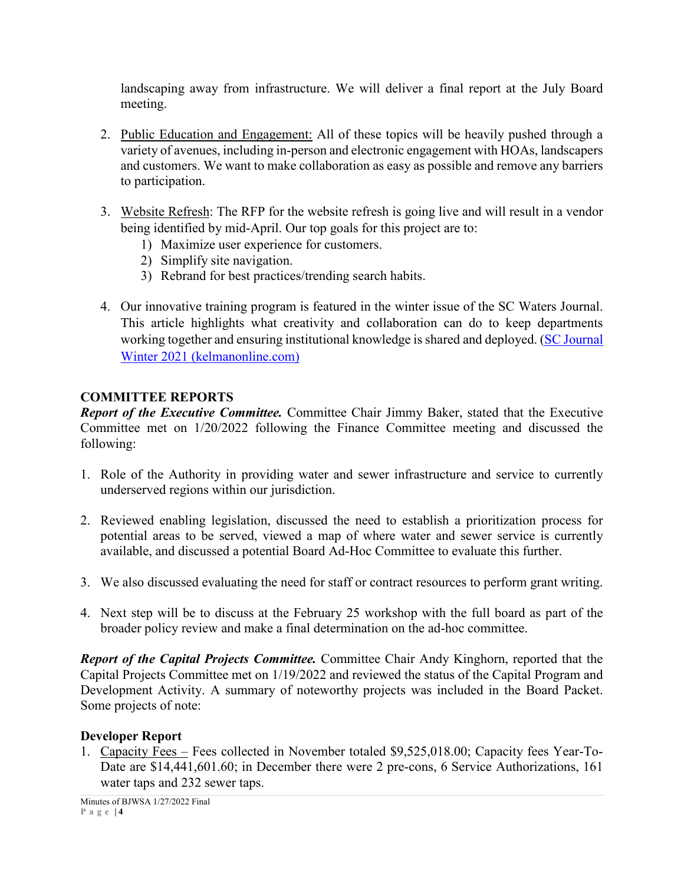landscaping away from infrastructure. We will deliver a final report at the July Board meeting.

- 2. Public Education and Engagement: All of these topics will be heavily pushed through a variety of avenues, including in-person and electronic engagement with HOAs, landscapers and customers. We want to make collaboration as easy as possible and remove any barriers to participation.
- 3. Website Refresh: The RFP for the website refresh is going live and will result in a vendor being identified by mid-April. Our top goals for this project are to:
	- 1) Maximize user experience for customers.
	- 2) Simplify site navigation.
	- 3) Rebrand for best practices/trending search habits.
- 4. Our innovative training program is featured in the winter issue of the SC Waters Journal. This article highlights what creativity and collaboration can do to keep departments working together and ensuring institutional knowledge is shared and deployed. [\(SC Journal](https://www.kelmanonline.com/httpdocs/files/SC_Journal/scjournalwinter2021/index.html)  [Winter 2021 \(kelmanonline.com\)](https://www.kelmanonline.com/httpdocs/files/SC_Journal/scjournalwinter2021/index.html)

# **COMMITTEE REPORTS**

*Report of the Executive Committee.* Committee Chair Jimmy Baker, stated that the Executive Committee met on 1/20/2022 following the Finance Committee meeting and discussed the following:

- 1. Role of the Authority in providing water and sewer infrastructure and service to currently underserved regions within our jurisdiction.
- 2. Reviewed enabling legislation, discussed the need to establish a prioritization process for potential areas to be served, viewed a map of where water and sewer service is currently available, and discussed a potential Board Ad-Hoc Committee to evaluate this further.
- 3. We also discussed evaluating the need for staff or contract resources to perform grant writing.
- 4. Next step will be to discuss at the February 25 workshop with the full board as part of the broader policy review and make a final determination on the ad-hoc committee.

*Report of the Capital Projects Committee.* Committee Chair Andy Kinghorn, reported that the Capital Projects Committee met on 1/19/2022 and reviewed the status of the Capital Program and Development Activity. A summary of noteworthy projects was included in the Board Packet. Some projects of note:

# **Developer Report**

1. Capacity Fees – Fees collected in November totaled \$9,525,018.00; Capacity fees Year-To-Date are \$14,441,601.60; in December there were 2 pre-cons, 6 Service Authorizations, 161 water taps and 232 sewer taps.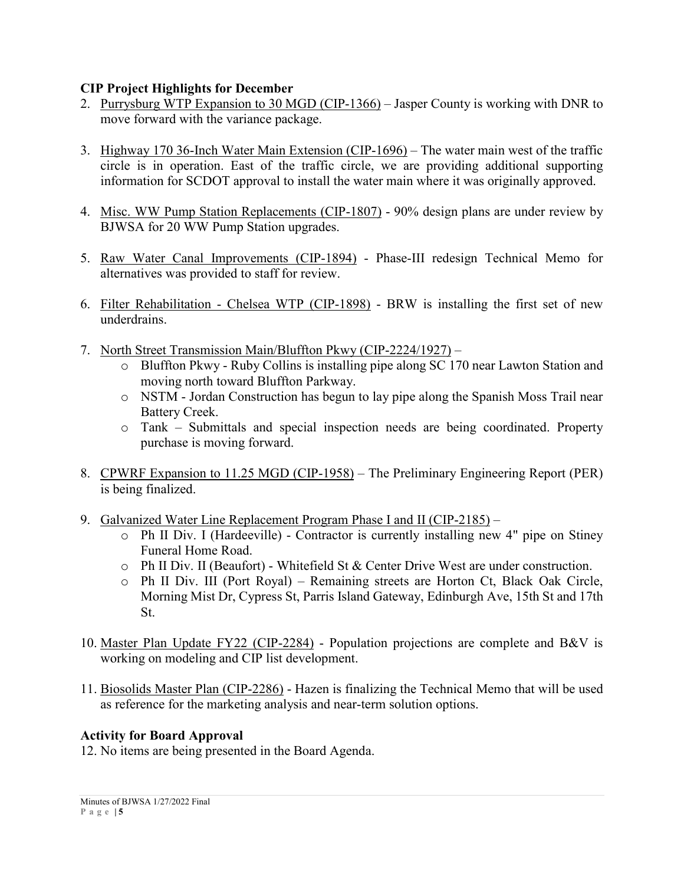### **CIP Project Highlights for December**

- 2. Purrysburg WTP Expansion to 30 MGD (CIP-1366) Jasper County is working with DNR to move forward with the variance package.
- 3. Highway 170 36-Inch Water Main Extension (CIP-1696) The water main west of the traffic circle is in operation. East of the traffic circle, we are providing additional supporting information for SCDOT approval to install the water main where it was originally approved.
- 4. Misc. WW Pump Station Replacements (CIP-1807) 90% design plans are under review by BJWSA for 20 WW Pump Station upgrades.
- 5. Raw Water Canal Improvements (CIP-1894) Phase-III redesign Technical Memo for alternatives was provided to staff for review.
- 6. Filter Rehabilitation Chelsea WTP (CIP-1898) BRW is installing the first set of new underdrains.
- 7. North Street Transmission Main/Bluffton Pkwy (CIP-2224/1927)
	- o Bluffton Pkwy Ruby Collins is installing pipe along SC 170 near Lawton Station and moving north toward Bluffton Parkway.
	- o NSTM Jordan Construction has begun to lay pipe along the Spanish Moss Trail near Battery Creek.
	- o Tank Submittals and special inspection needs are being coordinated. Property purchase is moving forward.
- 8. CPWRF Expansion to 11.25 MGD (CIP-1958) The Preliminary Engineering Report (PER) is being finalized.
- 9. Galvanized Water Line Replacement Program Phase I and II (CIP-2185)
	- o Ph II Div. I (Hardeeville) Contractor is currently installing new 4" pipe on Stiney Funeral Home Road.
	- o Ph II Div. II (Beaufort) Whitefield St & Center Drive West are under construction.
	- o Ph II Div. III (Port Royal) Remaining streets are Horton Ct, Black Oak Circle, Morning Mist Dr, Cypress St, Parris Island Gateway, Edinburgh Ave, 15th St and 17th St.
- 10. Master Plan Update FY22 (CIP-2284) Population projections are complete and B&V is working on modeling and CIP list development.
- 11. Biosolids Master Plan (CIP-2286) Hazen is finalizing the Technical Memo that will be used as reference for the marketing analysis and near-term solution options.

### **Activity for Board Approval**

12. No items are being presented in the Board Agenda.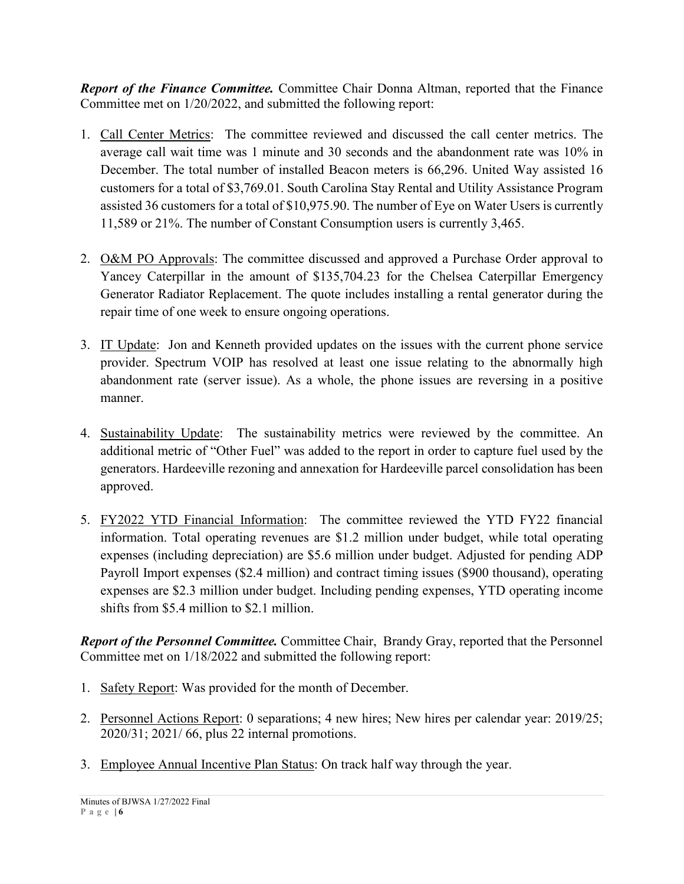*Report of the Finance Committee.* Committee Chair Donna Altman, reported that the Finance Committee met on 1/20/2022, and submitted the following report:

- 1. Call Center Metrics: The committee reviewed and discussed the call center metrics. The average call wait time was 1 minute and 30 seconds and the abandonment rate was 10% in December. The total number of installed Beacon meters is 66,296. United Way assisted 16 customers for a total of \$3,769.01. South Carolina Stay Rental and Utility Assistance Program assisted 36 customers for a total of \$10,975.90. The number of Eye on Water Users is currently 11,589 or 21%. The number of Constant Consumption users is currently 3,465.
- 2. O&M PO Approvals: The committee discussed and approved a Purchase Order approval to Yancey Caterpillar in the amount of \$135,704.23 for the Chelsea Caterpillar Emergency Generator Radiator Replacement. The quote includes installing a rental generator during the repair time of one week to ensure ongoing operations.
- 3. IT Update: Jon and Kenneth provided updates on the issues with the current phone service provider. Spectrum VOIP has resolved at least one issue relating to the abnormally high abandonment rate (server issue). As a whole, the phone issues are reversing in a positive manner.
- 4. Sustainability Update: The sustainability metrics were reviewed by the committee. An additional metric of "Other Fuel" was added to the report in order to capture fuel used by the generators. Hardeeville rezoning and annexation for Hardeeville parcel consolidation has been approved.
- 5. FY2022 YTD Financial Information: The committee reviewed the YTD FY22 financial information. Total operating revenues are \$1.2 million under budget, while total operating expenses (including depreciation) are \$5.6 million under budget. Adjusted for pending ADP Payroll Import expenses (\$2.4 million) and contract timing issues (\$900 thousand), operating expenses are \$2.3 million under budget. Including pending expenses, YTD operating income shifts from \$5.4 million to \$2.1 million.

*Report of the Personnel Committee.* Committee Chair, Brandy Gray, reported that the Personnel Committee met on 1/18/2022 and submitted the following report:

- 1. Safety Report: Was provided for the month of December.
- 2. Personnel Actions Report: 0 separations; 4 new hires; New hires per calendar year: 2019/25; 2020/31; 2021/ 66, plus 22 internal promotions.
- 3. Employee Annual Incentive Plan Status: On track half way through the year.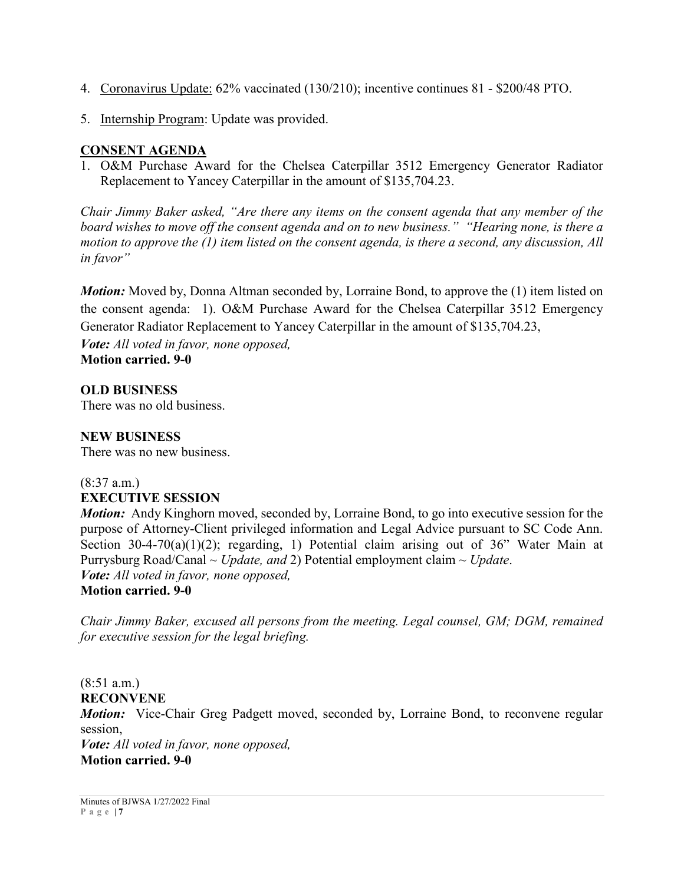- 4. Coronavirus Update: 62% vaccinated (130/210); incentive continues 81 \$200/48 PTO.
- 5. Internship Program: Update was provided.

### **CONSENT AGENDA**

1. O&M Purchase Award for the Chelsea Caterpillar 3512 Emergency Generator Radiator Replacement to Yancey Caterpillar in the amount of \$135,704.23.

*Chair Jimmy Baker asked, "Are there any items on the consent agenda that any member of the board wishes to move off the consent agenda and on to new business." "Hearing none, is there a motion to approve the (1) item listed on the consent agenda, is there a second, any discussion, All in favor"*

*Motion:* Moved by, Donna Altman seconded by, Lorraine Bond, to approve the (1) item listed on the consent agenda: 1). O&M Purchase Award for the Chelsea Caterpillar 3512 Emergency Generator Radiator Replacement to Yancey Caterpillar in the amount of \$135,704.23,

*Vote: All voted in favor, none opposed,*

**Motion carried. 9-0**

### **OLD BUSINESS**

There was no old business.

## **NEW BUSINESS**

There was no new business.

# (8:37 a.m.)

### **EXECUTIVE SESSION**

*Motion:* Andy Kinghorn moved, seconded by, Lorraine Bond, to go into executive session for the purpose of Attorney-Client privileged information and Legal Advice pursuant to SC Code Ann. Section 30-4-70(a)(1)(2); regarding, 1) Potential claim arising out of 36" Water Main at Purrysburg Road/Canal ~ *Update, and* 2) Potential employment claim ~ *Update*. *Vote: All voted in favor, none opposed,* **Motion carried. 9-0**

*Chair Jimmy Baker, excused all persons from the meeting. Legal counsel, GM; DGM, remained for executive session for the legal briefing.*

(8:51 a.m.) **RECONVENE** *Motion:* Vice-Chair Greg Padgett moved, seconded by, Lorraine Bond, to reconvene regular session, *Vote: All voted in favor, none opposed,*

**Motion carried. 9-0**